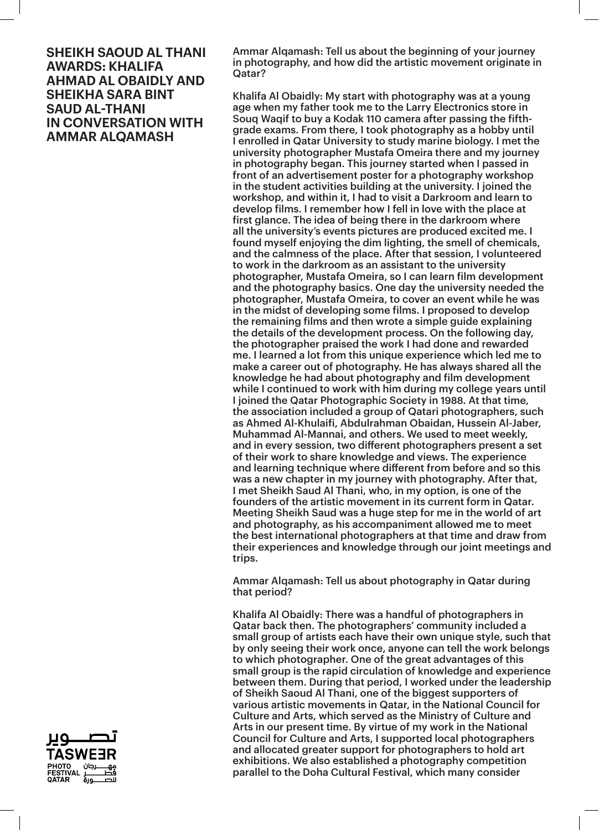Ammar Alqamash: Tell us about the beginning of your journey in photography, and how did the artistic movement originate in Qatar?

Khalifa Al Obaidly: My start with photography was at a young age when my father took me to the Larry Electronics store in Souq Waqif to buy a Kodak 110 camera after passing the fifthgrade exams. From there, I took photography as a hobby until I enrolled in Qatar University to study marine biology. I met the university photographer Mustafa Omeira there and my journey in photography began. This journey started when I passed in front of an advertisement poster for a photography workshop in the student activities building at the university. I joined the workshop, and within it, I had to visit a Darkroom and learn to develop films. I remember how I fell in love with the place at first glance. The idea of being there in the darkroom where all the university's events pictures are produced excited me. I found myself enjoying the dim lighting, the smell of chemicals, and the calmness of the place. After that session, I volunteered to work in the darkroom as an assistant to the university photographer, Mustafa Omeira, so I can learn film development and the photography basics. One day the university needed the photographer, Mustafa Omeira, to cover an event while he was in the midst of developing some films. I proposed to develop the remaining films and then wrote a simple guide explaining the details of the development process. On the following day, the photographer praised the work I had done and rewarded me. I learned a lot from this unique experience which led me to make a career out of photography. He has always shared all the knowledge he had about photography and film development while I continued to work with him during my college years until I joined the Qatar Photographic Society in 1988. At that time, the association included a group of Qatari photographers, such as Ahmed Al-Khulaifi, Abdulrahman Obaidan, Hussein Al-Jaber, Muhammad Al-Mannai, and others. We used to meet weekly, and in every session, two different photographers present a set of their work to share knowledge and views. The experience and learning technique where different from before and so this was a new chapter in my journey with photography. After that, I met Sheikh Saud Al Thani, who, in my option, is one of the founders of the artistic movement in its current form in Qatar. Meeting Sheikh Saud was a huge step for me in the world of art and photography, as his accompaniment allowed me to meet the best international photographers at that time and draw from their experiences and knowledge through our joint meetings and trips.

Ammar Alqamash: Tell us about photography in Qatar during that period?

Khalifa Al Obaidly: There was a handful of photographers in Qatar back then. The photographers' community included a small group of artists each have their own unique style, such that by only seeing their work once, anyone can tell the work belongs to which photographer. One of the great advantages of this small group is the rapid circulation of knowledge and experience between them. During that period, I worked under the leadership of Sheikh Saoud Al Thani, one of the biggest supporters of various artistic movements in Qatar, in the National Council for Culture and Arts, which served as the Ministry of Culture and Arts in our present time. By virtue of my work in the National Council for Culture and Arts, I supported local photographers and allocated greater support for photographers to hold art exhibitions. We also established a photography competition parallel to the Doha Cultural Festival, which many consider

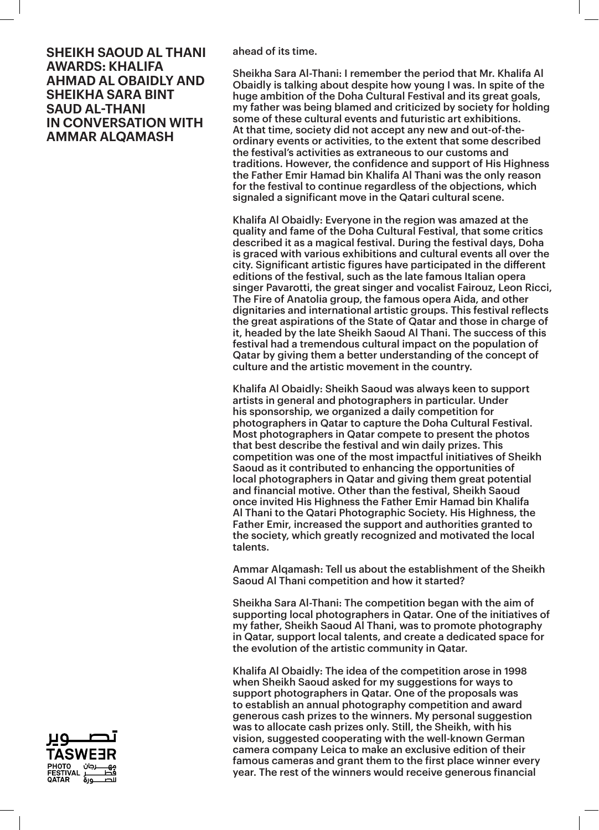ahead of its time.

Sheikha Sara Al-Thani: I remember the period that Mr. Khalifa Al Obaidly is talking about despite how young I was. In spite of the huge ambition of the Doha Cultural Festival and its great goals, my father was being blamed and criticized by society for holding some of these cultural events and futuristic art exhibitions. At that time, society did not accept any new and out-of-theordinary events or activities, to the extent that some described the festival's activities as extraneous to our customs and traditions. However, the confidence and support of His Highness the Father Emir Hamad bin Khalifa Al Thani was the only reason for the festival to continue regardless of the objections, which signaled a significant move in the Qatari cultural scene.

Khalifa Al Obaidly: Everyone in the region was amazed at the quality and fame of the Doha Cultural Festival, that some critics described it as a magical festival. During the festival days, Doha is graced with various exhibitions and cultural events all over the city. Significant artistic figures have participated in the different editions of the festival, such as the late famous Italian opera singer Pavarotti, the great singer and vocalist Fairouz, Leon Ricci, The Fire of Anatolia group, the famous opera Aida, and other dignitaries and international artistic groups. This festival reflects the great aspirations of the State of Qatar and those in charge of it, headed by the late Sheikh Saoud Al Thani. The success of this festival had a tremendous cultural impact on the population of Qatar by giving them a better understanding of the concept of culture and the artistic movement in the country.

Khalifa Al Obaidly: Sheikh Saoud was always keen to support artists in general and photographers in particular. Under his sponsorship, we organized a daily competition for photographers in Qatar to capture the Doha Cultural Festival. Most photographers in Qatar compete to present the photos that best describe the festival and win daily prizes. This competition was one of the most impactful initiatives of Sheikh Saoud as it contributed to enhancing the opportunities of local photographers in Qatar and giving them great potential and financial motive. Other than the festival, Sheikh Saoud once invited His Highness the Father Emir Hamad bin Khalifa Al Thani to the Qatari Photographic Society. His Highness, the Father Emir, increased the support and authorities granted to the society, which greatly recognized and motivated the local talents.

Ammar Alqamash: Tell us about the establishment of the Sheikh Saoud Al Thani competition and how it started?

Sheikha Sara Al-Thani: The competition began with the aim of supporting local photographers in Qatar. One of the initiatives of my father, Sheikh Saoud Al Thani, was to promote photography in Qatar, support local talents, and create a dedicated space for the evolution of the artistic community in Qatar.

Khalifa Al Obaidly: The idea of the competition arose in 1998 when Sheikh Saoud asked for my suggestions for ways to support photographers in Qatar. One of the proposals was to establish an annual photography competition and award generous cash prizes to the winners. My personal suggestion was to allocate cash prizes only. Still, the Sheikh, with his vision, suggested cooperating with the well-known German camera company Leica to make an exclusive edition of their famous cameras and grant them to the first place winner every year. The rest of the winners would receive generous financial

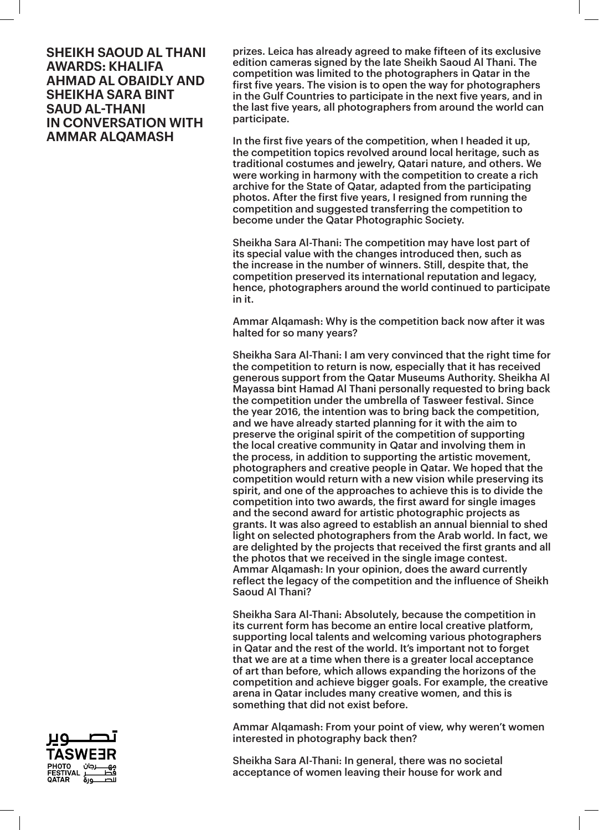prizes. Leica has already agreed to make fifteen of its exclusive edition cameras signed by the late Sheikh Saoud Al Thani. The competition was limited to the photographers in Qatar in the first five years. The vision is to open the way for photographers in the Gulf Countries to participate in the next five years, and in the last five years, all photographers from around the world can participate.

In the first five years of the competition, when I headed it up, the competition topics revolved around local heritage, such as traditional costumes and jewelry, Qatari nature, and others. We were working in harmony with the competition to create a rich archive for the State of Qatar, adapted from the participating photos. After the first five years, I resigned from running the competition and suggested transferring the competition to become under the Qatar Photographic Society.

Sheikha Sara Al-Thani: The competition may have lost part of its special value with the changes introduced then, such as the increase in the number of winners. Still, despite that, the competition preserved its international reputation and legacy, hence, photographers around the world continued to participate in it.

Ammar Alqamash: Why is the competition back now after it was halted for so many years?

Sheikha Sara Al-Thani: I am very convinced that the right time for the competition to return is now, especially that it has received generous support from the Qatar Museums Authority. Sheikha Al Mayassa bint Hamad Al Thani personally requested to bring back the competition under the umbrella of Tasweer festival. Since the year 2016, the intention was to bring back the competition, and we have already started planning for it with the aim to preserve the original spirit of the competition of supporting the local creative community in Qatar and involving them in the process, in addition to supporting the artistic movement, photographers and creative people in Qatar. We hoped that the competition would return with a new vision while preserving its spirit, and one of the approaches to achieve this is to divide the competition into two awards, the first award for single images and the second award for artistic photographic projects as grants. It was also agreed to establish an annual biennial to shed light on selected photographers from the Arab world. In fact, we are delighted by the projects that received the first grants and all the photos that we received in the single image contest. Ammar Alqamash: In your opinion, does the award currently reflect the legacy of the competition and the influence of Sheikh Saoud Al Thani?

Sheikha Sara Al-Thani: Absolutely, because the competition in its current form has become an entire local creative platform, supporting local talents and welcoming various photographers in Qatar and the rest of the world. It's important not to forget that we are at a time when there is a greater local acceptance of art than before, which allows expanding the horizons of the competition and achieve bigger goals. For example, the creative arena in Qatar includes many creative women, and this is something that did not exist before.

Ammar Alqamash: From your point of view, why weren't women interested in photography back then?

Sheikha Sara Al-Thani: In general, there was no societal acceptance of women leaving their house for work and

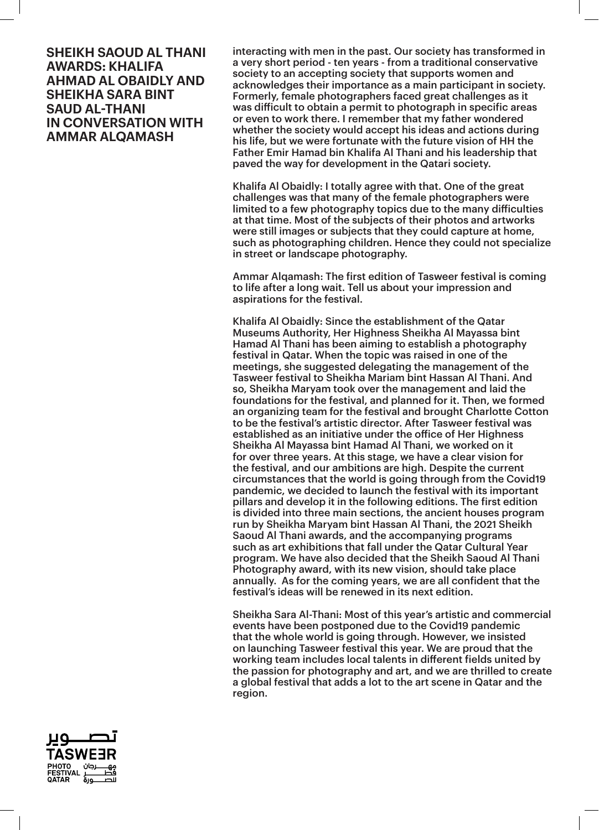interacting with men in the past. Our society has transformed in a very short period - ten years - from a traditional conservative society to an accepting society that supports women and acknowledges their importance as a main participant in society. Formerly, female photographers faced great challenges as it was difficult to obtain a permit to photograph in specific areas or even to work there. I remember that my father wondered whether the society would accept his ideas and actions during his life, but we were fortunate with the future vision of HH the Father Emir Hamad bin Khalifa Al Thani and his leadership that paved the way for development in the Qatari society.

Khalifa Al Obaidly: I totally agree with that. One of the great challenges was that many of the female photographers were limited to a few photography topics due to the many difficulties at that time. Most of the subjects of their photos and artworks were still images or subjects that they could capture at home, such as photographing children. Hence they could not specialize in street or landscape photography.

Ammar Alqamash: The first edition of Tasweer festival is coming to life after a long wait. Tell us about your impression and aspirations for the festival.

Khalifa Al Obaidly: Since the establishment of the Qatar Museums Authority, Her Highness Sheikha Al Mayassa bint Hamad Al Thani has been aiming to establish a photography festival in Qatar. When the topic was raised in one of the meetings, she suggested delegating the management of the Tasweer festival to Sheikha Mariam bint Hassan Al Thani. And so, Sheikha Maryam took over the management and laid the foundations for the festival, and planned for it. Then, we formed an organizing team for the festival and brought Charlotte Cotton to be the festival's artistic director. After Tasweer festival was established as an initiative under the office of Her Highness Sheikha Al Mayassa bint Hamad Al Thani, we worked on it for over three years. At this stage, we have a clear vision for the festival, and our ambitions are high. Despite the current circumstances that the world is going through from the Covid19 pandemic, we decided to launch the festival with its important pillars and develop it in the following editions. The first edition is divided into three main sections, the ancient houses program run by Sheikha Maryam bint Hassan Al Thani, the 2021 Sheikh Saoud Al Thani awards, and the accompanying programs such as art exhibitions that fall under the Qatar Cultural Year program. We have also decided that the Sheikh Saoud Al Thani Photography award, with its new vision, should take place annually. As for the coming years, we are all confident that the festival's ideas will be renewed in its next edition.

Sheikha Sara Al-Thani: Most of this year's artistic and commercial events have been postponed due to the Covid19 pandemic that the whole world is going through. However, we insisted on launching Tasweer festival this year. We are proud that the working team includes local talents in different fields united by the passion for photography and art, and we are thrilled to create a global festival that adds a lot to the art scene in Qatar and the region.